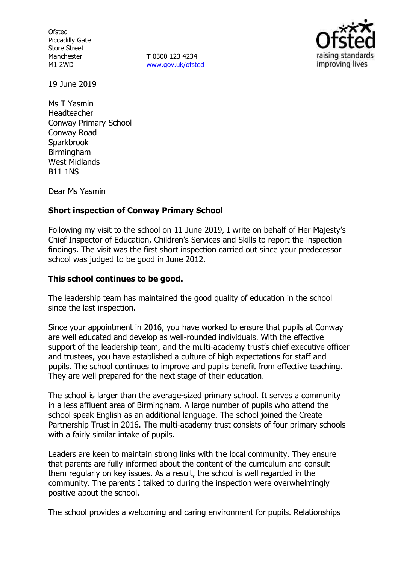**Ofsted** Piccadilly Gate Store Street Manchester M1 2WD

**T** 0300 123 4234 www.gov.uk/ofsted



19 June 2019

Ms T Yasmin Headteacher Conway Primary School Conway Road **Sparkbrook Birmingham** West Midlands B11 1NS

Dear Ms Yasmin

## **Short inspection of Conway Primary School**

Following my visit to the school on 11 June 2019, I write on behalf of Her Majesty's Chief Inspector of Education, Children's Services and Skills to report the inspection findings. The visit was the first short inspection carried out since your predecessor school was judged to be good in June 2012.

#### **This school continues to be good.**

The leadership team has maintained the good quality of education in the school since the last inspection.

Since your appointment in 2016, you have worked to ensure that pupils at Conway are well educated and develop as well-rounded individuals. With the effective support of the leadership team, and the multi-academy trust's chief executive officer and trustees, you have established a culture of high expectations for staff and pupils. The school continues to improve and pupils benefit from effective teaching. They are well prepared for the next stage of their education.

The school is larger than the average-sized primary school. It serves a community in a less affluent area of Birmingham. A large number of pupils who attend the school speak English as an additional language. The school joined the Create Partnership Trust in 2016. The multi-academy trust consists of four primary schools with a fairly similar intake of pupils.

Leaders are keen to maintain strong links with the local community. They ensure that parents are fully informed about the content of the curriculum and consult them regularly on key issues. As a result, the school is well regarded in the community. The parents I talked to during the inspection were overwhelmingly positive about the school.

The school provides a welcoming and caring environment for pupils. Relationships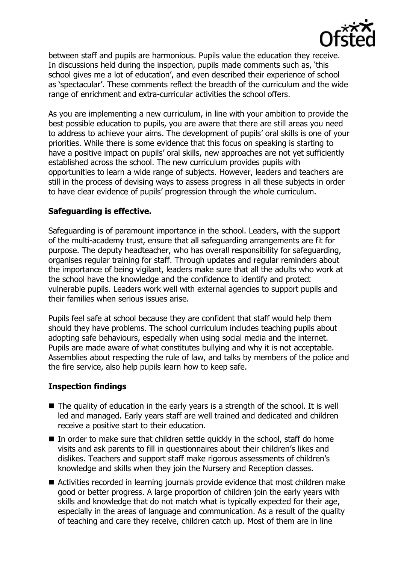

between staff and pupils are harmonious. Pupils value the education they receive. In discussions held during the inspection, pupils made comments such as, 'this school gives me a lot of education', and even described their experience of school as 'spectacular'. These comments reflect the breadth of the curriculum and the wide range of enrichment and extra-curricular activities the school offers.

As you are implementing a new curriculum, in line with your ambition to provide the best possible education to pupils, you are aware that there are still areas you need to address to achieve your aims. The development of pupils' oral skills is one of your priorities. While there is some evidence that this focus on speaking is starting to have a positive impact on pupils' oral skills, new approaches are not yet sufficiently established across the school. The new curriculum provides pupils with opportunities to learn a wide range of subjects. However, leaders and teachers are still in the process of devising ways to assess progress in all these subjects in order to have clear evidence of pupils' progression through the whole curriculum.

# **Safeguarding is effective.**

Safeguarding is of paramount importance in the school. Leaders, with the support of the multi-academy trust, ensure that all safeguarding arrangements are fit for purpose. The deputy headteacher, who has overall responsibility for safeguarding, organises regular training for staff. Through updates and regular reminders about the importance of being vigilant, leaders make sure that all the adults who work at the school have the knowledge and the confidence to identify and protect vulnerable pupils. Leaders work well with external agencies to support pupils and their families when serious issues arise.

Pupils feel safe at school because they are confident that staff would help them should they have problems. The school curriculum includes teaching pupils about adopting safe behaviours, especially when using social media and the internet. Pupils are made aware of what constitutes bullying and why it is not acceptable. Assemblies about respecting the rule of law, and talks by members of the police and the fire service, also help pupils learn how to keep safe.

## **Inspection findings**

- The quality of education in the early years is a strength of the school. It is well led and managed. Early years staff are well trained and dedicated and children receive a positive start to their education.
- $\blacksquare$  In order to make sure that children settle quickly in the school, staff do home visits and ask parents to fill in questionnaires about their children's likes and dislikes. Teachers and support staff make rigorous assessments of children's knowledge and skills when they join the Nursery and Reception classes.
- Activities recorded in learning journals provide evidence that most children make good or better progress. A large proportion of children join the early years with skills and knowledge that do not match what is typically expected for their age, especially in the areas of language and communication. As a result of the quality of teaching and care they receive, children catch up. Most of them are in line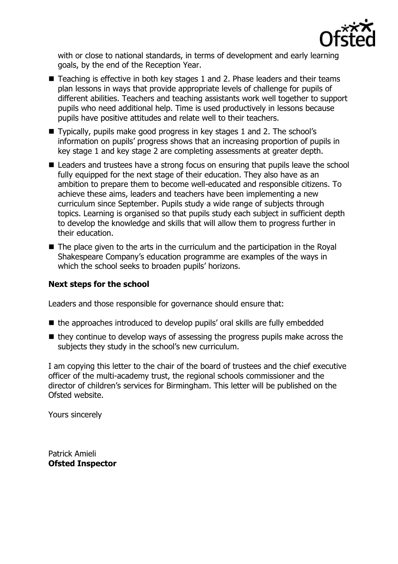

with or close to national standards, in terms of development and early learning goals, by the end of the Reception Year.

- Teaching is effective in both key stages 1 and 2. Phase leaders and their teams plan lessons in ways that provide appropriate levels of challenge for pupils of different abilities. Teachers and teaching assistants work well together to support pupils who need additional help. Time is used productively in lessons because pupils have positive attitudes and relate well to their teachers.
- Typically, pupils make good progress in key stages 1 and 2. The school's information on pupils' progress shows that an increasing proportion of pupils in key stage 1 and key stage 2 are completing assessments at greater depth.
- Leaders and trustees have a strong focus on ensuring that pupils leave the school fully equipped for the next stage of their education. They also have as an ambition to prepare them to become well-educated and responsible citizens. To achieve these aims, leaders and teachers have been implementing a new curriculum since September. Pupils study a wide range of subjects through topics. Learning is organised so that pupils study each subject in sufficient depth to develop the knowledge and skills that will allow them to progress further in their education.
- $\blacksquare$  The place given to the arts in the curriculum and the participation in the Royal Shakespeare Company's education programme are examples of the ways in which the school seeks to broaden pupils' horizons.

# **Next steps for the school**

Leaders and those responsible for governance should ensure that:

- the approaches introduced to develop pupils' oral skills are fully embedded
- $\blacksquare$  they continue to develop ways of assessing the progress pupils make across the subjects they study in the school's new curriculum.

I am copying this letter to the chair of the board of trustees and the chief executive officer of the multi-academy trust, the regional schools commissioner and the director of children's services for Birmingham. This letter will be published on the Ofsted website.

Yours sincerely

Patrick Amieli **Ofsted Inspector**